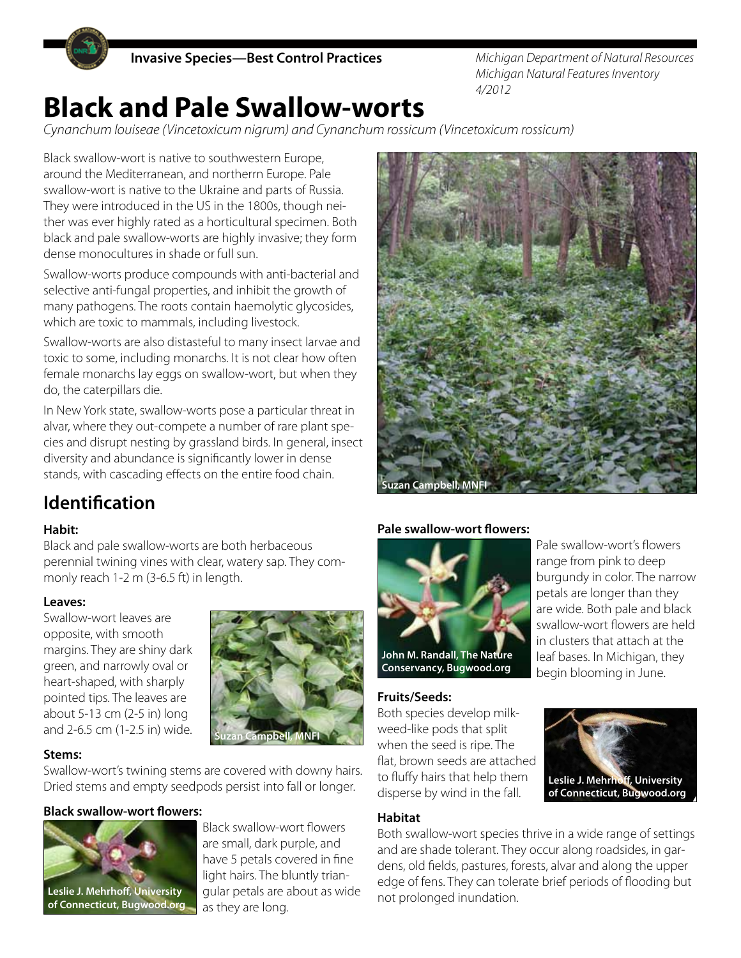

*Michigan Department of Natural Resources Michigan Natural Features Inventory 4/2012*

# **Black and Pale Swallow-worts**

*Cynanchum louiseae (Vincetoxicum nigrum) and Cynanchum rossicum (Vincetoxicum rossicum)*

Black swallow-wort is native to southwestern Europe, around the Mediterranean, and northerrn Europe. Pale swallow-wort is native to the Ukraine and parts of Russia. They were introduced in the US in the 1800s, though neither was ever highly rated as a horticultural specimen. Both black and pale swallow-worts are highly invasive; they form dense monocultures in shade or full sun.

Swallow-worts produce compounds with anti-bacterial and selective anti-fungal properties, and inhibit the growth of many pathogens. The roots contain haemolytic glycosides, which are toxic to mammals, including livestock.

Swallow-worts are also distasteful to many insect larvae and toxic to some, including monarchs. It is not clear how often female monarchs lay eggs on swallow-wort, but when they do, the caterpillars die.

In New York state, swallow-worts pose a particular threat in alvar, where they out-compete a number of rare plant species and disrupt nesting by grassland birds. In general, insect diversity and abundance is significantly lower in dense stands, with cascading effects on the entire food chain.



# **Identification**

## **Habit:**

Black and pale swallow-worts are both herbaceous perennial twining vines with clear, watery sap. They commonly reach 1-2 m (3-6.5 ft) in length.

#### **Leaves:**

Swallow-wort leaves are opposite, with smooth margins. They are shiny dark green, and narrowly oval or heart-shaped, with sharply pointed tips. The leaves are about 5-13 cm (2-5 in) long and 2-6.5 cm (1-2.5 in) wide.



#### **Stems:**

Swallow-wort's twining stems are covered with downy hairs. Dried stems and empty seedpods persist into fall or longer.

## **Black swallow-wort flowers:**



**Leslie J. Mehrhoff, University of Connecticut, Bugwood.org**

Black swallow-wort flowers are small, dark purple, and have 5 petals covered in fine light hairs. The bluntly triangular petals are about as wide as they are long.

## **Pale swallow-wort flowers:**



**Conservancy, Bugwood.org**

#### **Fruits/Seeds:**

Both species develop milkweed-like pods that split when the seed is ripe. The flat, brown seeds are attached to fluffy hairs that help them disperse by wind in the fall.



Pale swallow-wort's flowers range from pink to deep burgundy in color. The narrow petals are longer than they are wide. Both pale and black swallow-wort flowers are held in clusters that attach at the leaf bases. In Michigan, they begin blooming in June.

## **Habitat**

Both swallow-wort species thrive in a wide range of settings and are shade tolerant. They occur along roadsides, in gardens, old fields, pastures, forests, alvar and along the upper edge of fens. They can tolerate brief periods of flooding but not prolonged inundation.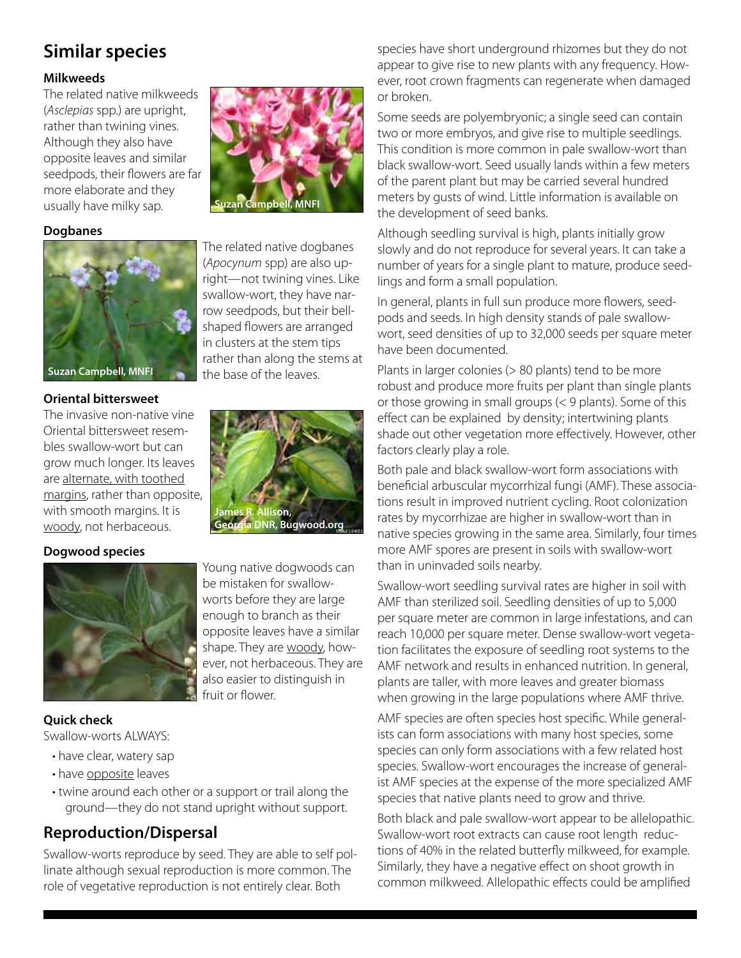# **Similar species**

## **Milkweeds**

The related native milkweeds (*Asclepias* spp.) are upright, rather than twining vines. Although they also have opposite leaves and similar seedpods, their flowers are far more elaborate and they usually have milky sap.

## **Dogbanes**



# **Oriental bittersweet**

The invasive non-native vine Oriental bittersweet resembles swallow-wort but can grow much longer. Its leaves are alternate, with toothed margins, rather than opposite, with smooth margins. It is woody, not herbaceous.

## **Dogwood species**



## **Quick check**

Swallow-worts ALWAYS:

- have clear, watery sap
- have opposite leaves
- twine around each other or a support or trail along the ground—they do not stand upright without support.

## **Reproduction/Dispersal**

Swallow-worts reproduce by seed. They are able to self pollinate although sexual reproduction is more common. The role of vegetative reproduction is not entirely clear. Both



The related native dogbanes (*Apocynum* spp) are also upright—not twining vines. Like swallow-wort, they have narrow seedpods, but their bellshaped flowers are arranged in clusters at the stem tips rather than along the stems at the base of the leaves.



Young native dogwoods can be mistaken for swallowworts before they are large enough to branch as their opposite leaves have a similar shape. They are woody, however, not herbaceous. They are also easier to distinguish in fruit or flower.

species have short underground rhizomes but they do not appear to give rise to new plants with any frequency. However, root crown fragments can regenerate when damaged or broken.

Some seeds are polyembryonic; a single seed can contain two or more embryos, and give rise to multiple seedlings. This condition is more common in pale swallow-wort than black swallow-wort. Seed usually lands within a few meters of the parent plant but may be carried several hundred meters by gusts of wind. Little information is available on the development of seed banks.

Although seedling survival is high, plants initially grow slowly and do not reproduce for several years. It can take a number of years for a single plant to mature, produce seedlings and form a small population.

In general, plants in full sun produce more flowers, seedpods and seeds. In high density stands of pale swallowwort, seed densities of up to 32,000 seeds per square meter have been documented.

Plants in larger colonies (> 80 plants) tend to be more robust and produce more fruits per plant than single plants or those growing in small groups (< 9 plants). Some of this effect can be explained by density; intertwining plants shade out other vegetation more effectively. However, other factors clearly play a role.

Both pale and black swallow-wort form associations with beneficial arbuscular mycorrhizal fungi (AMF). These associations result in improved nutrient cycling. Root colonization rates by mycorrhizae are higher in swallow-wort than in native species growing in the same area. Similarly, four times more AMF spores are present in soils with swallow-wort than in uninvaded soils nearby.

Swallow-wort seedling survival rates are higher in soil with AMF than sterilized soil. Seedling densities of up to 5,000 per square meter are common in large infestations, and can reach 10,000 per square meter. Dense swallow-wort vegetation facilitates the exposure of seedling root systems to the AMF network and results in enhanced nutrition. In general, plants are taller, with more leaves and greater biomass when growing in the large populations where AMF thrive.

AMF species are often species host specific. While generalists can form associations with many host species, some species can only form associations with a few related host species. Swallow-wort encourages the increase of generalist AMF species at the expense of the more specialized AMF species that native plants need to grow and thrive.

Both black and pale swallow-wort appear to be allelopathic. Swallow-wort root extracts can cause root length reductions of 40% in the related butterfly milkweed, for example. Similarly, they have a negative effect on shoot growth in common milkweed. Allelopathic effects could be amplified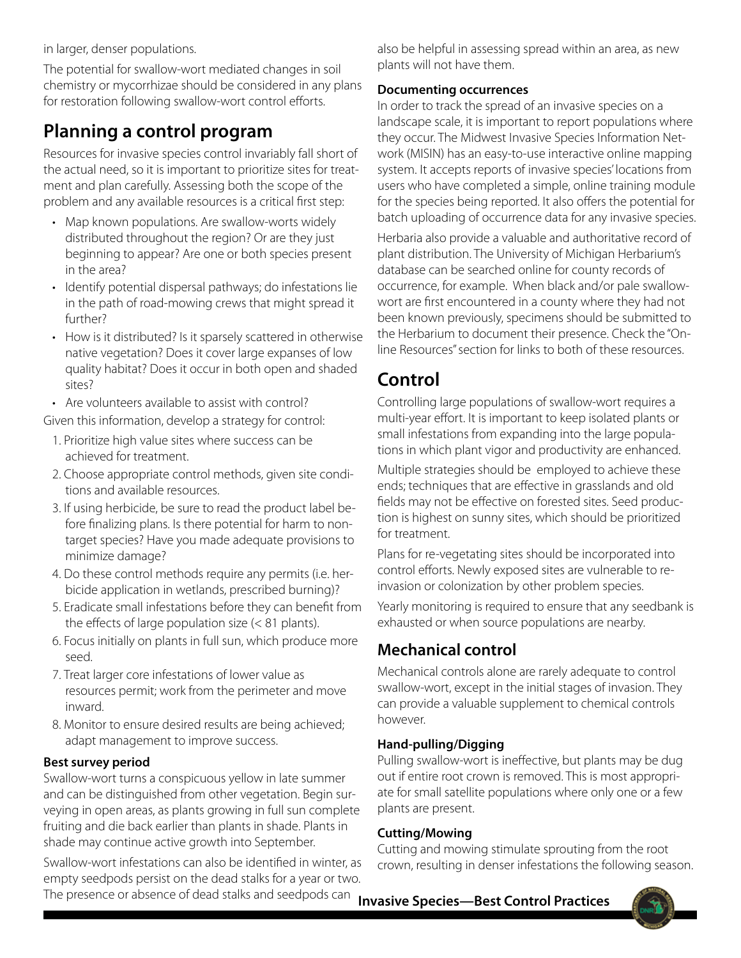in larger, denser populations.

The potential for swallow-wort mediated changes in soil chemistry or mycorrhizae should be considered in any plans for restoration following swallow-wort control efforts.

# **Planning a control program**

Resources for invasive species control invariably fall short of the actual need, so it is important to prioritize sites for treatment and plan carefully. Assessing both the scope of the problem and any available resources is a critical first step:

- Map known populations. Are swallow-worts widely distributed throughout the region? Or are they just beginning to appear? Are one or both species present in the area?
- Identify potential dispersal pathways; do infestations lie in the path of road-mowing crews that might spread it further?
- How is it distributed? Is it sparsely scattered in otherwise native vegetation? Does it cover large expanses of low quality habitat? Does it occur in both open and shaded sites?
- Are volunteers available to assist with control?

Given this information, develop a strategy for control:

- 1. Prioritize high value sites where success can be achieved for treatment.
- 2. Choose appropriate control methods, given site conditions and available resources.
- 3. If using herbicide, be sure to read the product label before finalizing plans. Is there potential for harm to nontarget species? Have you made adequate provisions to minimize damage?
- 4. Do these control methods require any permits (i.e. herbicide application in wetlands, prescribed burning)?
- 5. Eradicate small infestations before they can benefit from the effects of large population size (< 81 plants).
- 6. Focus initially on plants in full sun, which produce more seed.
- 7. Treat larger core infestations of lower value as resources permit; work from the perimeter and move inward.
- 8. Monitor to ensure desired results are being achieved; adapt management to improve success.

## **Best survey period**

Swallow-wort turns a conspicuous yellow in late summer and can be distinguished from other vegetation. Begin surveying in open areas, as plants growing in full sun complete fruiting and die back earlier than plants in shade. Plants in shade may continue active growth into September.

Swallow-wort infestations can also be identified in winter, as empty seedpods persist on the dead stalks for a year or two. The presence or absence of dead stalks and seedpods can

also be helpful in assessing spread within an area, as new plants will not have them.

## **Documenting occurrences**

In order to track the spread of an invasive species on a landscape scale, it is important to report populations where they occur. The Midwest Invasive Species Information Network (MISIN) has an easy-to-use interactive online mapping system. It accepts reports of invasive species' locations from users who have completed a simple, online training module for the species being reported. It also offers the potential for batch uploading of occurrence data for any invasive species.

Herbaria also provide a valuable and authoritative record of plant distribution. The University of Michigan Herbarium's database can be searched online for county records of occurrence, for example. When black and/or pale swallowwort are first encountered in a county where they had not been known previously, specimens should be submitted to the Herbarium to document their presence. Check the "Online Resources" section for links to both of these resources.

# **Control**

Controlling large populations of swallow-wort requires a multi-year effort. It is important to keep isolated plants or small infestations from expanding into the large populations in which plant vigor and productivity are enhanced.

Multiple strategies should be employed to achieve these ends; techniques that are effective in grasslands and old fields may not be effective on forested sites. Seed production is highest on sunny sites, which should be prioritized for treatment.

Plans for re-vegetating sites should be incorporated into control efforts. Newly exposed sites are vulnerable to reinvasion or colonization by other problem species.

Yearly monitoring is required to ensure that any seedbank is exhausted or when source populations are nearby.

## **Mechanical control**

Mechanical controls alone are rarely adequate to control swallow-wort, except in the initial stages of invasion. They can provide a valuable supplement to chemical controls however.

## **Hand-pulling/Digging**

Pulling swallow-wort is ineffective, but plants may be dug out if entire root crown is removed. This is most appropriate for small satellite populations where only one or a few plants are present.

## **Cutting/Mowing**

Cutting and mowing stimulate sprouting from the root crown, resulting in denser infestations the following season.

**Invasive Species—Best Control Practices**

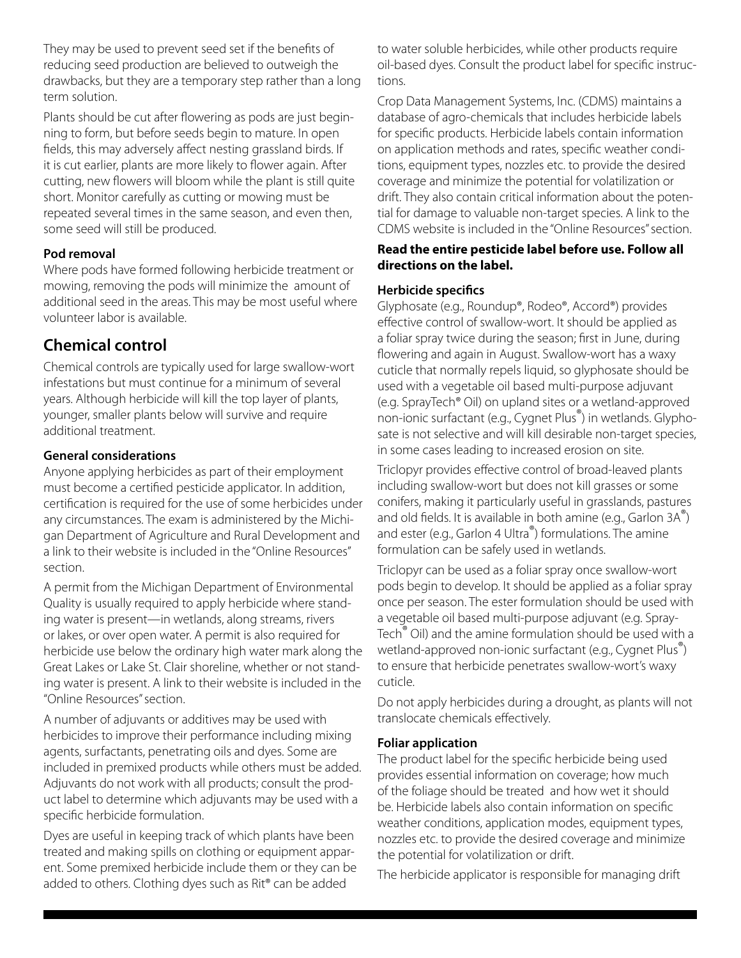They may be used to prevent seed set if the benefits of reducing seed production are believed to outweigh the drawbacks, but they are a temporary step rather than a long term solution.

Plants should be cut after flowering as pods are just beginning to form, but before seeds begin to mature. In open fields, this may adversely affect nesting grassland birds. If it is cut earlier, plants are more likely to flower again. After cutting, new flowers will bloom while the plant is still quite short. Monitor carefully as cutting or mowing must be repeated several times in the same season, and even then, some seed will still be produced.

## **Pod removal**

Where pods have formed following herbicide treatment or mowing, removing the pods will minimize the amount of additional seed in the areas. This may be most useful where volunteer labor is available.

## **Chemical control**

Chemical controls are typically used for large swallow-wort infestations but must continue for a minimum of several years. Although herbicide will kill the top layer of plants, younger, smaller plants below will survive and require additional treatment.

## **General considerations**

Anyone applying herbicides as part of their employment must become a certified pesticide applicator. In addition, certification is required for the use of some herbicides under any circumstances. The exam is administered by the Michigan Department of Agriculture and Rural Development and a link to their website is included in the "Online Resources" section.

A permit from the Michigan Department of Environmental Quality is usually required to apply herbicide where standing water is present—in wetlands, along streams, rivers or lakes, or over open water. A permit is also required for herbicide use below the ordinary high water mark along the Great Lakes or Lake St. Clair shoreline, whether or not standing water is present. A link to their website is included in the "Online Resources" section.

A number of adjuvants or additives may be used with herbicides to improve their performance including mixing agents, surfactants, penetrating oils and dyes. Some are included in premixed products while others must be added. Adjuvants do not work with all products; consult the product label to determine which adjuvants may be used with a specific herbicide formulation.

Dyes are useful in keeping track of which plants have been treated and making spills on clothing or equipment apparent. Some premixed herbicide include them or they can be added to others. Clothing dyes such as Rit® can be added

to water soluble herbicides, while other products require oil-based dyes. Consult the product label for specific instructions.

Crop Data Management Systems, Inc. (CDMS) maintains a database of agro-chemicals that includes herbicide labels for specific products. Herbicide labels contain information on application methods and rates, specific weather conditions, equipment types, nozzles etc. to provide the desired coverage and minimize the potential for volatilization or drift. They also contain critical information about the potential for damage to valuable non-target species. A link to the CDMS website is included in the "Online Resources" section.

## **Read the entire pesticide label before use. Follow all directions on the label.**

## **Herbicide specifics**

Glyphosate (e.g., Roundup®, Rodeo®, Accord®) provides effective control of swallow-wort. It should be applied as a foliar spray twice during the season; first in June, during flowering and again in August. Swallow-wort has a waxy cuticle that normally repels liquid, so glyphosate should be used with a vegetable oil based multi-purpose adjuvant (e.g. SprayTech® Oil) on upland sites or a wetland-approved non-ionic surfactant (e.g., Cygnet Plus®) in wetlands. Glyphosate is not selective and will kill desirable non-target species, in some cases leading to increased erosion on site.

Triclopyr provides effective control of broad-leaved plants including swallow-wort but does not kill grasses or some conifers, making it particularly useful in grasslands, pastures and old fields. It is available in both amine (e.g., Garlon  $3A^{\bullet}$ ) and ester (e.g., Garlon 4 Ultra®) formulations. The amine formulation can be safely used in wetlands.

Triclopyr can be used as a foliar spray once swallow-wort pods begin to develop. It should be applied as a foliar spray once per season. The ester formulation should be used with a vegetable oil based multi-purpose adjuvant (e.g. Spray-Tech® Oil) and the amine formulation should be used with a wetland-approved non-ionic surfactant (e.g., Cygnet Plus®) to ensure that herbicide penetrates swallow-wort's waxy cuticle.

Do not apply herbicides during a drought, as plants will not translocate chemicals effectively.

## **Foliar application**

The product label for the specific herbicide being used provides essential information on coverage; how much of the foliage should be treated and how wet it should be. Herbicide labels also contain information on specific weather conditions, application modes, equipment types, nozzles etc. to provide the desired coverage and minimize the potential for volatilization or drift.

The herbicide applicator is responsible for managing drift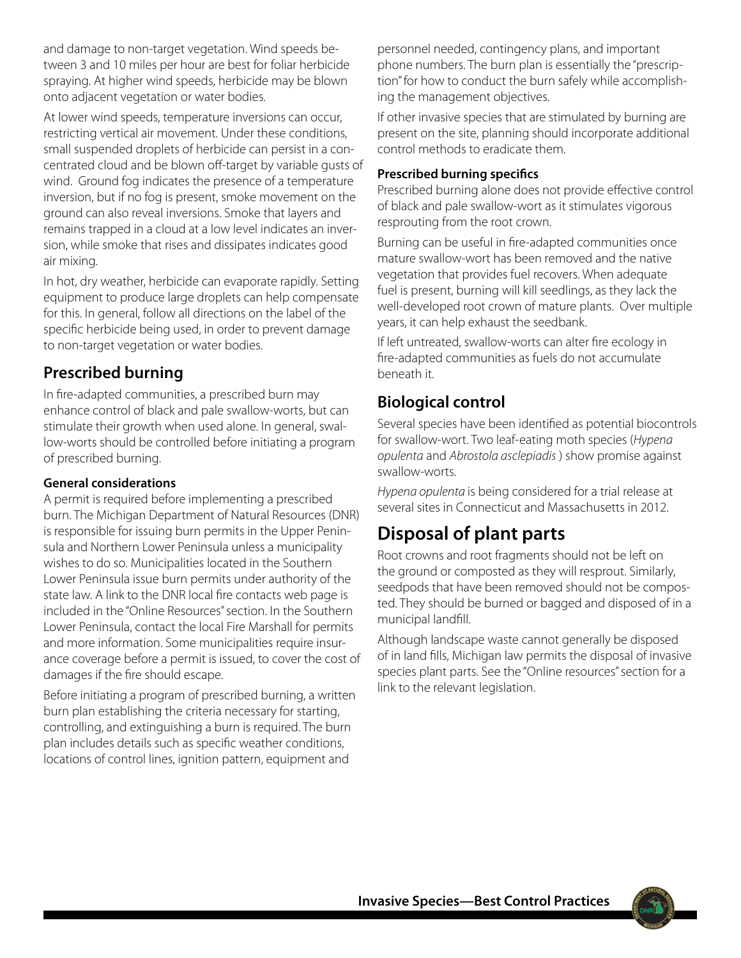and damage to non-target vegetation. Wind speeds between 3 and 10 miles per hour are best for foliar herbicide spraying. At higher wind speeds, herbicide may be blown onto adjacent vegetation or water bodies.

At lower wind speeds, temperature inversions can occur, restricting vertical air movement. Under these conditions, small suspended droplets of herbicide can persist in a concentrated cloud and be blown off-target by variable gusts of wind. Ground fog indicates the presence of a temperature inversion, but if no fog is present, smoke movement on the ground can also reveal inversions. Smoke that layers and remains trapped in a cloud at a low level indicates an inversion, while smoke that rises and dissipates indicates good air mixing.

In hot, dry weather, herbicide can evaporate rapidly. Setting equipment to produce large droplets can help compensate for this. In general, follow all directions on the label of the specific herbicide being used, in order to prevent damage to non-target vegetation or water bodies.

## **Prescribed burning**

In fire-adapted communities, a prescribed burn may enhance control of black and pale swallow-worts, but can stimulate their growth when used alone. In general, swallow-worts should be controlled before initiating a program of prescribed burning.

## **General considerations**

A permit is required before implementing a prescribed burn. The Michigan Department of Natural Resources (DNR) is responsible for issuing burn permits in the Upper Peninsula and Northern Lower Peninsula unless a municipality wishes to do so. Municipalities located in the Southern Lower Peninsula issue burn permits under authority of the state law. A link to the DNR local fire contacts web page is included in the "Online Resources" section. In the Southern Lower Peninsula, contact the local Fire Marshall for permits and more information. Some municipalities require insurance coverage before a permit is issued, to cover the cost of damages if the fire should escape.

Before initiating a program of prescribed burning, a written burn plan establishing the criteria necessary for starting, controlling, and extinguishing a burn is required. The burn plan includes details such as specific weather conditions, locations of control lines, ignition pattern, equipment and

personnel needed, contingency plans, and important phone numbers. The burn plan is essentially the "prescription" for how to conduct the burn safely while accomplishing the management objectives.

If other invasive species that are stimulated by burning are present on the site, planning should incorporate additional control methods to eradicate them.

## **Prescribed burning specifics**

Prescribed burning alone does not provide effective control of black and pale swallow-wort as it stimulates vigorous resprouting from the root crown.

Burning can be useful in fire-adapted communities once mature swallow-wort has been removed and the native vegetation that provides fuel recovers. When adequate fuel is present, burning will kill seedlings, as they lack the well-developed root crown of mature plants. Over multiple years, it can help exhaust the seedbank.

If left untreated, swallow-worts can alter fire ecology in fire-adapted communities as fuels do not accumulate beneath it.

## **Biological control**

Several species have been identified as potential biocontrols for swallow-wort. Two leaf-eating moth species (*Hypena opulenta* and *Abrostola asclepiadis* ) show promise against swallow-worts.

*Hypena opulenta* is being considered for a trial release at several sites in Connecticut and Massachusetts in 2012.

# **Disposal of plant parts**

Root crowns and root fragments should not be left on the ground or composted as they will resprout. Similarly, seedpods that have been removed should not be composted. They should be burned or bagged and disposed of in a municipal landfill.

Although landscape waste cannot generally be disposed of in land fills, Michigan law permits the disposal of invasive species plant parts. See the "Online resources" section for a link to the relevant legislation.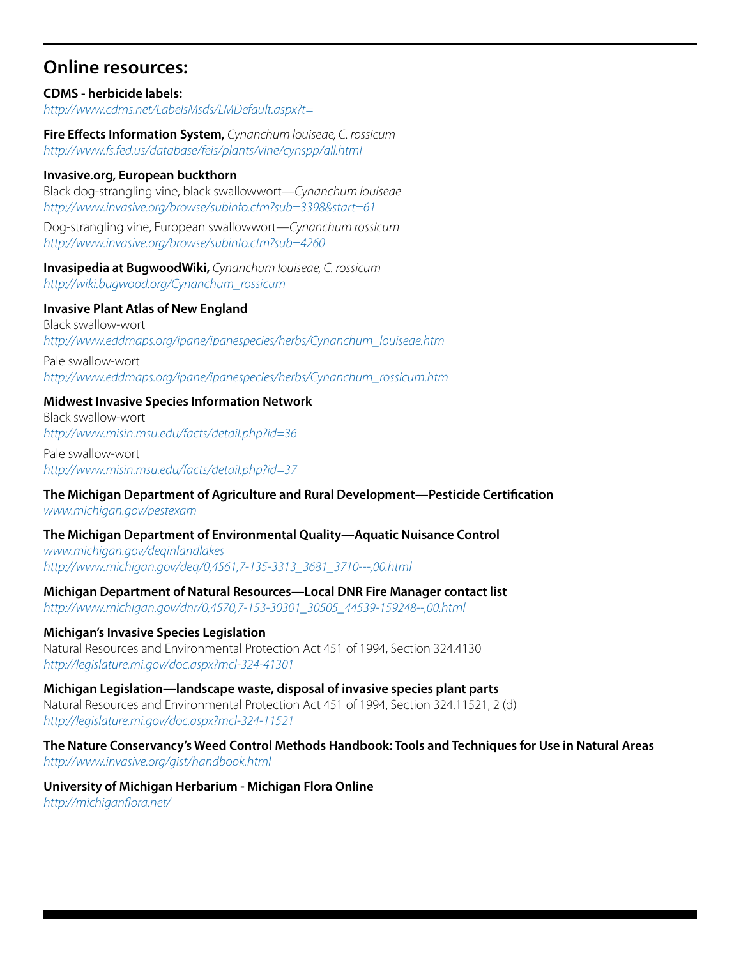## **Online resources:**

**CDMS - herbicide labels:** *http://www.cdms.net/LabelsMsds/LMDefault.aspx?t=*

**Fire Effects Information System,** *Cynanchum louiseae, C. rossicum http://www.fs.fed.us/database/feis/plants/vine/cynspp/all.html*

#### **Invasive.org, European buckthorn**

Black dog-strangling vine, black swallowwort—*Cynanchum louiseae http://www.invasive.org/browse/subinfo.cfm?sub=3398&start=61*

Dog-strangling vine, European swallowwort—*Cynanchum rossicum http://www.invasive.org/browse/subinfo.cfm?sub=4260*

**Invasipedia at BugwoodWiki,** *Cynanchum louiseae, C. rossicum http://wiki.bugwood.org/Cynanchum\_rossicum*

#### **Invasive Plant Atlas of New England**

Black swallow-wort *http://www.eddmaps.org/ipane/ipanespecies/herbs/Cynanchum\_louiseae.htm*

Pale swallow-wort *http://www.eddmaps.org/ipane/ipanespecies/herbs/Cynanchum\_rossicum.htm*

## **Midwest Invasive Species Information Network**

Black swallow-wort *http://www.misin.msu.edu/facts/detail.php?id=36*

Pale swallow-wort *http://www.misin.msu.edu/facts/detail.php?id=37*

## **The Michigan Department of Agriculture and Rural Development—Pesticide Certification**

*www.michigan.gov/pestexam* 

## **The Michigan Department of Environmental Quality—Aquatic Nuisance Control**

*www.michigan.gov/deqinlandlakes [http://www.michigan.gov/deq/0,4561,7-135-3313\\_3681\\_3710---,00.html](http://www.michigan.gov/deq/0,4561,7-135-3313_3681_3710---,00.html)*

## **Michigan Department of Natural Resources—Local DNR Fire Manager contact list**

*[http://www.michigan.gov/dnr/0,4570,7-153-30301\\_30505\\_44539-159248--,00.html](http://www.michigan.gov/dnr/0,4570,7-153-30301_30505_44539-159248--,00.html)*

## **Michigan's Invasive Species Legislation**

Natural Resources and Environmental Protection Act 451 of 1994, Section 324.4130 *http://legislature.mi.gov/doc.aspx?mcl-324-41301*

#### **Michigan Legislation—landscape waste, disposal of invasive species plant parts**

Natural Resources and Environmental Protection Act 451 of 1994, Section 324.11521, 2 (d) *http://legislature.mi.gov/doc.aspx?mcl-324-11521*

#### **The Nature Conservancy's Weed Control Methods Handbook: Tools and Techniques for Use in Natural Areas** *http://www.invasive.org/gist/handbook.html*

**University of Michigan Herbarium - Michigan Flora Online** *http://michiganflora.net/*